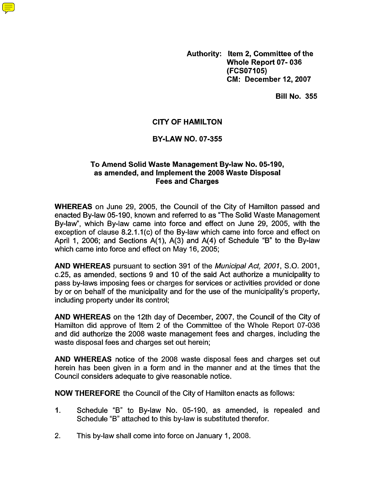**Authority: Item 2, Committee of the Whole Report 07- 036 (FCSO7105) CM: December 12,2007** 

**Bill No. 355** 

# **CITY OF HAMILTON**

# **BY-LAW NO. 07-355**

# **To Amend Solid Waste Management Bylaw No. 05-190, as amended, and Implement the 2008 Waste Disposal Fees and Charges**

**WHEREAS** on June 29, 2005, the Council of the City of Hamilton passed and enacted By-law 05-190, known and referred to as "The Solid Waste Management By-law", which By-law came into force and effect on June 29, 2005, with the exception of clause 8.2.1.1(c) of the By-law which came into force and effect on April 1, 2006; and Sections A(I), A(3) and A(4) of Schedule "B" to the By-law which came into force and effect on May 16, 2005;

**AND WHEREAS** pursuant to section 391 of the *Municipal Act,* 2007, S.O. 2001, c.25, as amended, sections 9 and 10 of the said Act authorize a municipality to pass by-laws imposing fees or charges for services or activities provided or done by or on behalf of the municipality and for the use of the municipality's property, including property under its control;

**AND WHEREAS** on the 12th day of December, 2007, the Council of the City of Hamilton did approve of Item 2 of the Committee of the Whole Report 07-036 and did authorize the 2008 waste management fees and charges, including the waste disposal fees and charges set out herein;

**AND WHEREAS** notice of the 2008 waste disposal fees and charges set out herein has been given in a form and in the manner and at the times that the Council considers adequate to give reasonable notice.

**NOW THEREFORE** the Council of the City of Hamilton enacts as follows:

- 1. Schedule "6" to By-law No. 05-190, as amended, is repealed and Schedule "6" attached to this by-law is substituted therefor.
- 2. This by-law shall come into force on January 1, 2008.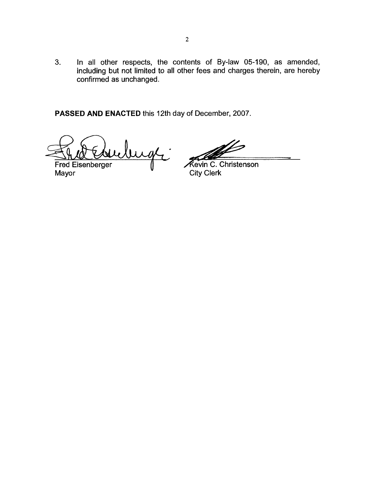3. In all other respects, the contents of By-law 05-190, as amended, including but not limited to all other fees and charges therein, are hereby confirmed as unchanged.

**PASSED AND ENACTED** this 12th day of December, 2007.

bugh.

**Fred Eisenberger** Mayor City Clerk

 $\mathbb Z$ 

Kevin C. Christenson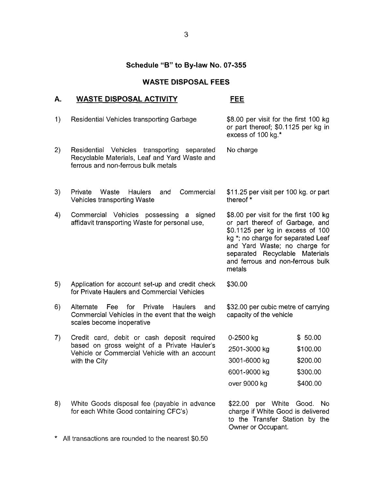# **WASTE DISPOSAL FEES**

# Schedule "B" to By-law No. 07-355<br>WASTE DISPOSAL FEES<br>A. WASTE DISPOSAL ACTIVITY FEE

| 1) | Residential Vehicles transporting Garbage                                                                                                                    | \$8.00 per visit for the first 100 kg<br>or part thereof; \$0.1125 per kg in<br>excess of 100 kg.*                                                                                                                                                                  |          |
|----|--------------------------------------------------------------------------------------------------------------------------------------------------------------|---------------------------------------------------------------------------------------------------------------------------------------------------------------------------------------------------------------------------------------------------------------------|----------|
| 2) | Residential Vehicles transporting<br>separated<br>Recyclable Materials, Leaf and Yard Waste and<br>ferrous and non-ferrous bulk metals                       | No charge                                                                                                                                                                                                                                                           |          |
| 3) | Commercial<br>Private<br>Waste<br><b>Haulers</b><br>and<br><b>Vehicles transporting Waste</b>                                                                | \$11.25 per visit per 100 kg. or part<br>thereof *                                                                                                                                                                                                                  |          |
| 4) | Commercial Vehicles<br>possessing a signed<br>affidavit transporting Waste for personal use,                                                                 | \$8.00 per visit for the first 100 kg<br>or part thereof of Garbage, and<br>\$0.1125 per kg in excess of 100<br>kg *; no charge for separated Leaf<br>and Yard Waste; no charge for<br>separated Recyclable Materials<br>and ferrous and non-ferrous bulk<br>metals |          |
| 5) | Application for account set-up and credit check<br>for Private Haulers and Commercial Vehicles                                                               | \$30.00                                                                                                                                                                                                                                                             |          |
| 6) | Alternate Fee for Private<br><b>Haulers</b><br>and<br>Commercial Vehicles in the event that the weigh<br>scales become inoperative                           | \$32.00 per cubic metre of carrying<br>capacity of the vehicle                                                                                                                                                                                                      |          |
| 7) | Credit card, debit or cash deposit required<br>based on gross weight of a Private Hauler's<br>Vehicle or Commercial Vehicle with an account<br>with the City | 0-2500 kg                                                                                                                                                                                                                                                           | \$50.00  |
|    |                                                                                                                                                              | 2501-3000 kg                                                                                                                                                                                                                                                        | \$100.00 |
|    |                                                                                                                                                              | 3001-6000 kg                                                                                                                                                                                                                                                        | \$200.00 |
|    |                                                                                                                                                              | 6001-9000 kg                                                                                                                                                                                                                                                        | \$300.00 |
|    |                                                                                                                                                              | over 9000 kg                                                                                                                                                                                                                                                        | \$400.00 |
| 8) | White Goods disposal fee (payable in advance<br>for each White Good containing CFC's)                                                                        | per White Good.<br>\$22.00<br>No.<br>charge if White Good is delivered<br>to the Transfer Station by the<br>Owner or Occupant.                                                                                                                                      |          |
|    | All transactions are rounded to the nearest \$0.50                                                                                                           |                                                                                                                                                                                                                                                                     |          |

**3**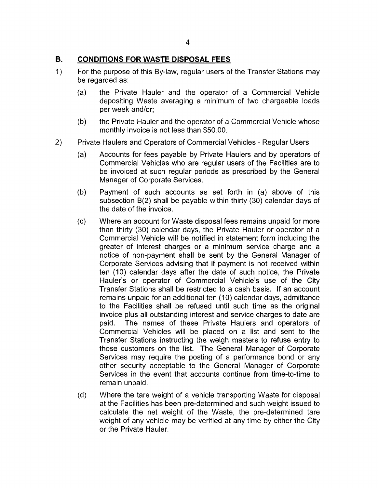## **B. CONDITIONS FOR WASTE DISPOSAL FEES**

- 1 ) For the purpose of this By-law, regular users of the Transfer Stations may be regarded as:
	- (a) the Private Hauler and the operator of a Commercial Vehicle depositing Waste averaging a minimum of two chargeable loads per week and/or;
	- the Private Hauler and the operator of a Commercial Vehicle whose monthly invoice is not less than \$50.00. (b)
- Private Haulers and Operators of Commercial Vehicles Regular Users 2)
	- Accounts for fees payable by Private Haulers and by operators of Commercial Vehicles who are regular users of the Facilities are to be invoiced at such regular periods as prescribed by the General Manager of Corporate Services. (a)
	- (b) Payment of such accounts as set forth in (a) above of this subsection B(2) shall be payable within thirty (30) calendar days of the date of the invoice.
	- $(c)$ Where an account for Waste disposal fees remains unpaid for more than thirty (30) calendar days, the Private Hauler or operator of a Commercial Vehicle will be notified in statement form including the greater of interest charges or a minimum service charge and a notice of non-payment shall be sent by the General Manager of Corporate Services advising that if payment is not received within ten (10) calendar days after the date of such notice, the Private Hauler's or operator of Commercial Vehicle's use of the City Transfer Stations shall be restricted to a cash basis. If an account remains unpaid for an additional ten (10) calendar days, admittance to the Facilities shall be refused until such time as the original invoice plus all outstanding interest and service charges to date are paid. The names of these Private Haulers and operators of Commercial Vehicles will be placed on a list and sent to the Transfer Stations instructing the weigh masters to refuse entry to those customers on the list. The General Manager of Corporate Services may require the posting of a performance bond or any other security acceptable to the General Manager of Corporate Services in the event that accounts continue from time-to-time to remain unpaid.
	- (d) Where the tare weight of a vehicle transporting Waste for disposal at the Facilities has been pre-determined and such weight issued to calculate the net weight of the Waste, the pre-determined tare weight of any vehicle may be verified at any time by either the City or the Private Hauler.